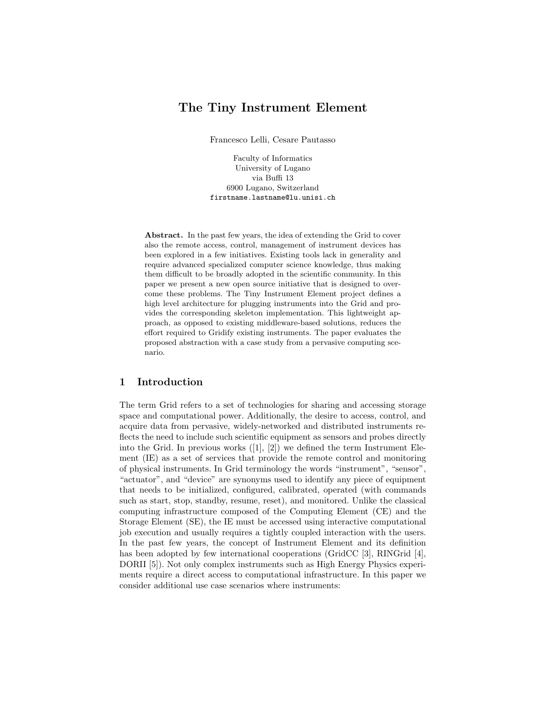# The Tiny Instrument Element

Francesco Lelli, Cesare Pautasso

Faculty of Informatics University of Lugano via Buffi 13 6900 Lugano, Switzerland firstname.lastname@lu.unisi.ch

Abstract. In the past few years, the idea of extending the Grid to cover also the remote access, control, management of instrument devices has been explored in a few initiatives. Existing tools lack in generality and require advanced specialized computer science knowledge, thus making them difficult to be broadly adopted in the scientific community. In this paper we present a new open source initiative that is designed to overcome these problems. The Tiny Instrument Element project defines a high level architecture for plugging instruments into the Grid and provides the corresponding skeleton implementation. This lightweight approach, as opposed to existing middleware-based solutions, reduces the effort required to Gridify existing instruments. The paper evaluates the proposed abstraction with a case study from a pervasive computing scenario.

## 1 Introduction

The term Grid refers to a set of technologies for sharing and accessing storage space and computational power. Additionally, the desire to access, control, and acquire data from pervasive, widely-networked and distributed instruments reflects the need to include such scientific equipment as sensors and probes directly into the Grid. In previous works  $([1], [2])$  $([1], [2])$  $([1], [2])$  $([1], [2])$  $([1], [2])$  we defined the term Instrument Element (IE) as a set of services that provide the remote control and monitoring of physical instruments. In Grid terminology the words "instrument", "sensor", "actuator", and "device" are synonyms used to identify any piece of equipment that needs to be initialized, configured, calibrated, operated (with commands such as start, stop, standby, resume, reset), and monitored. Unlike the classical computing infrastructure composed of the Computing Element (CE) and the Storage Element (SE), the IE must be accessed using interactive computational job execution and usually requires a tightly coupled interaction with the users. In the past few years, the concept of Instrument Element and its definition has been adopted by few international cooperations (GridCC [\[3\]](#page-11-2), RINGrid [\[4\]](#page-11-3), DORII [\[5\]](#page-11-4)). Not only complex instruments such as High Energy Physics experiments require a direct access to computational infrastructure. In this paper we consider additional use case scenarios where instruments: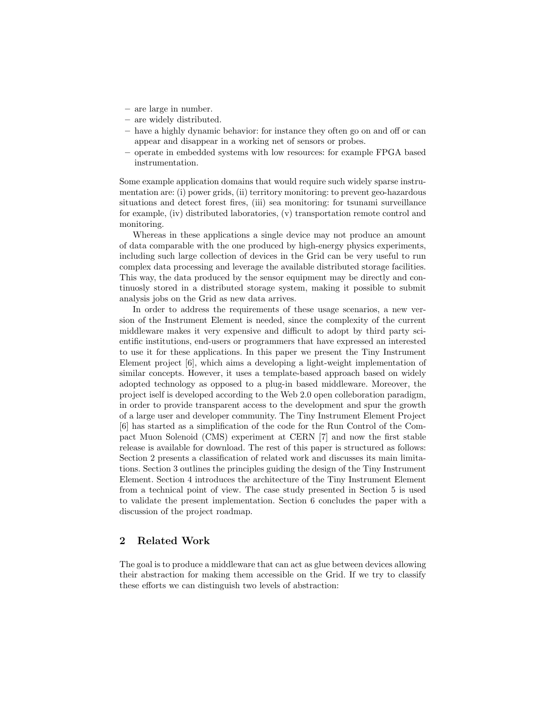- are large in number.
- are widely distributed.
- have a highly dynamic behavior: for instance they often go on and off or can appear and disappear in a working net of sensors or probes.
- operate in embedded systems with low resources: for example FPGA based instrumentation.

Some example application domains that would require such widely sparse instrumentation are: (i) power grids, (ii) territory monitoring: to prevent geo-hazardous situations and detect forest fires, (iii) sea monitoring: for tsunami surveillance for example, (iv) distributed laboratories, (v) transportation remote control and monitoring.

Whereas in these applications a single device may not produce an amount of data comparable with the one produced by high-energy physics experiments, including such large collection of devices in the Grid can be very useful to run complex data processing and leverage the available distributed storage facilities. This way, the data produced by the sensor equipment may be directly and continuosly stored in a distributed storage system, making it possible to submit analysis jobs on the Grid as new data arrives.

In order to address the requirements of these usage scenarios, a new version of the Instrument Element is needed, since the complexity of the current middleware makes it very expensive and difficult to adopt by third party scientific institutions, end-users or programmers that have expressed an interested to use it for these applications. In this paper we present the Tiny Instrument Element project [\[6\]](#page-11-5), which aims a developing a light-weight implementation of similar concepts. However, it uses a template-based approach based on widely adopted technology as opposed to a plug-in based middleware. Moreover, the project iself is developed according to the Web 2.0 open colleboration paradigm, in order to provide transparent access to the development and spur the growth of a large user and developer community. The Tiny Instrument Element Project [\[6\]](#page-11-5) has started as a simplification of the code for the Run Control of the Compact Muon Solenoid (CMS) experiment at CERN [\[7\]](#page-11-6) and now the first stable release is available for download. The rest of this paper is structured as follows: Section [2](#page-1-0) presents a classification of related work and discusses its main limitations. Section [3](#page-2-0) outlines the principles guiding the design of the Tiny Instrument Element. Section [4](#page-4-0) introduces the architecture of the Tiny Instrument Element from a technical point of view. The case study presented in Section [5](#page-9-0) is used to validate the present implementation. Section [6](#page-10-0) concludes the paper with a discussion of the project roadmap.

## <span id="page-1-0"></span>2 Related Work

The goal is to produce a middleware that can act as glue between devices allowing their abstraction for making them accessible on the Grid. If we try to classify these efforts we can distinguish two levels of abstraction: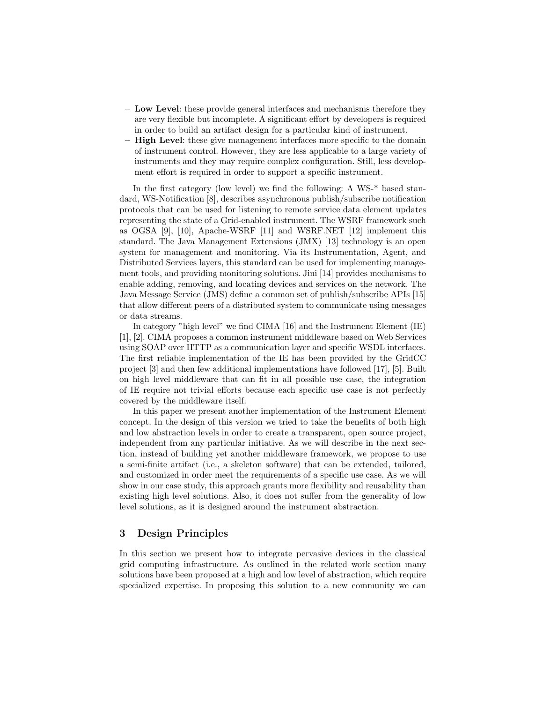- Low Level: these provide general interfaces and mechanisms therefore they are very flexible but incomplete. A significant effort by developers is required in order to build an artifact design for a particular kind of instrument.
- High Level: these give management interfaces more specific to the domain of instrument control. However, they are less applicable to a large variety of instruments and they may require complex configuration. Still, less development effort is required in order to support a specific instrument.

In the first category (low level) we find the following: A WS-\* based stan-dard, WS-Notification [\[8\]](#page-11-7), describes asynchronous publish/subscribe notification protocols that can be used for listening to remote service data element updates representing the state of a Grid-enabled instrument. The WSRF framework such as OGSA [\[9\]](#page-11-8), [\[10\]](#page-11-9), Apache-WSRF [\[11\]](#page-11-10) and WSRF.NET [\[12\]](#page-11-11) implement this standard. The Java Management Extensions (JMX) [\[13\]](#page-11-12) technology is an open system for management and monitoring. Via its Instrumentation, Agent, and Distributed Services layers, this standard can be used for implementing management tools, and providing monitoring solutions. Jini [\[14\]](#page-11-13) provides mechanisms to enable adding, removing, and locating devices and services on the network. The Java Message Service (JMS) define a common set of publish/subscribe APIs [\[15\]](#page-11-14) that allow different peers of a distributed system to communicate using messages or data streams.

In category "high level" we find CIMA [\[16\]](#page-11-15) and the Instrument Element (IE) [\[1\]](#page-11-0), [\[2\]](#page-11-1). CIMA proposes a common instrument middleware based on Web Services using SOAP over HTTP as a communication layer and specific WSDL interfaces. The first reliable implementation of the IE has been provided by the GridCC project [\[3\]](#page-11-2) and then few additional implementations have followed [\[17\]](#page-11-16), [\[5\]](#page-11-4). Built on high level middleware that can fit in all possible use case, the integration of IE require not trivial efforts because each specific use case is not perfectly covered by the middleware itself.

In this paper we present another implementation of the Instrument Element concept. In the design of this version we tried to take the benefits of both high and low abstraction levels in order to create a transparent, open source project, independent from any particular initiative. As we will describe in the next section, instead of building yet another middleware framework, we propose to use a semi-finite artifact (i.e., a skeleton software) that can be extended, tailored, and customized in order meet the requirements of a specific use case. As we will show in our case study, this approach grants more flexibility and reusability than existing high level solutions. Also, it does not suffer from the generality of low level solutions, as it is designed around the instrument abstraction.

## <span id="page-2-0"></span>3 Design Principles

In this section we present how to integrate pervasive devices in the classical grid computing infrastructure. As outlined in the related work section many solutions have been proposed at a high and low level of abstraction, which require specialized expertise. In proposing this solution to a new community we can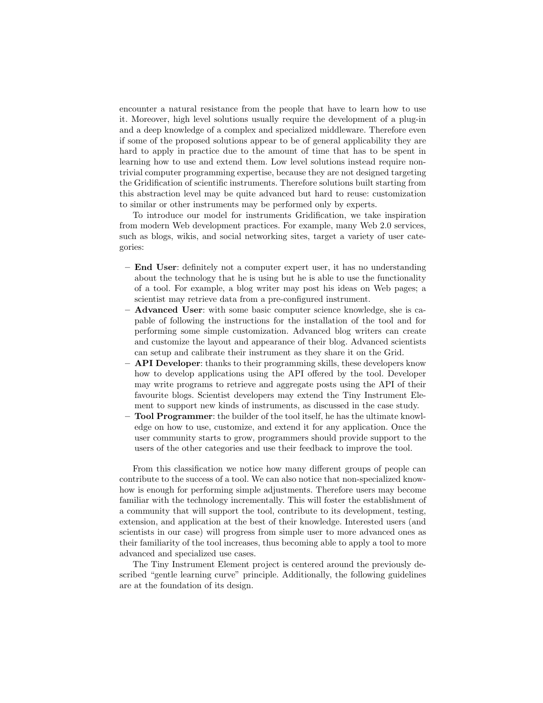encounter a natural resistance from the people that have to learn how to use it. Moreover, high level solutions usually require the development of a plug-in and a deep knowledge of a complex and specialized middleware. Therefore even if some of the proposed solutions appear to be of general applicability they are hard to apply in practice due to the amount of time that has to be spent in learning how to use and extend them. Low level solutions instead require nontrivial computer programming expertise, because they are not designed targeting the Gridification of scientific instruments. Therefore solutions built starting from this abstraction level may be quite advanced but hard to reuse: customization to similar or other instruments may be performed only by experts.

To introduce our model for instruments Gridification, we take inspiration from modern Web development practices. For example, many Web 2.0 services, such as blogs, wikis, and social networking sites, target a variety of user categories:

- End User: definitely not a computer expert user, it has no understanding about the technology that he is using but he is able to use the functionality of a tool. For example, a blog writer may post his ideas on Web pages; a scientist may retrieve data from a pre-configured instrument.
- Advanced User: with some basic computer science knowledge, she is capable of following the instructions for the installation of the tool and for performing some simple customization. Advanced blog writers can create and customize the layout and appearance of their blog. Advanced scientists can setup and calibrate their instrument as they share it on the Grid.
- **API Developer:** thanks to their programming skills, these developers know how to develop applications using the API offered by the tool. Developer may write programs to retrieve and aggregate posts using the API of their favourite blogs. Scientist developers may extend the Tiny Instrument Element to support new kinds of instruments, as discussed in the case study.
- Tool Programmer: the builder of the tool itself, he has the ultimate knowledge on how to use, customize, and extend it for any application. Once the user community starts to grow, programmers should provide support to the users of the other categories and use their feedback to improve the tool.

From this classification we notice how many different groups of people can contribute to the success of a tool. We can also notice that non-specialized knowhow is enough for performing simple adjustments. Therefore users may become familiar with the technology incrementally. This will foster the establishment of a community that will support the tool, contribute to its development, testing, extension, and application at the best of their knowledge. Interested users (and scientists in our case) will progress from simple user to more advanced ones as their familiarity of the tool increases, thus becoming able to apply a tool to more advanced and specialized use cases.

The Tiny Instrument Element project is centered around the previously described "gentle learning curve" principle. Additionally, the following guidelines are at the foundation of its design.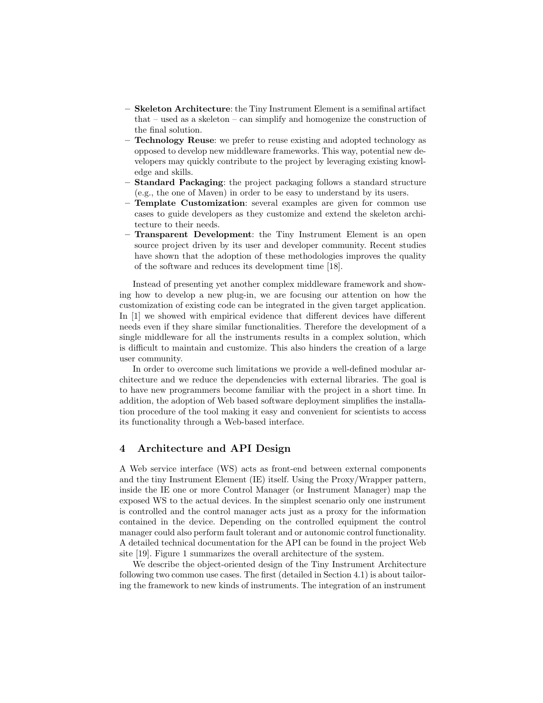- Skeleton Architecture: the Tiny Instrument Element is a semifinal artifact that – used as a skeleton – can simplify and homogenize the construction of the final solution.
- Technology Reuse: we prefer to reuse existing and adopted technology as opposed to develop new middleware frameworks. This way, potential new developers may quickly contribute to the project by leveraging existing knowledge and skills.
- **Standard Packaging**: the project packaging follows a standard structure (e.g., the one of Maven) in order to be easy to understand by its users.
- Template Customization: several examples are given for common use cases to guide developers as they customize and extend the skeleton architecture to their needs.
- Transparent Development: the Tiny Instrument Element is an open source project driven by its user and developer community. Recent studies have shown that the adoption of these methodologies improves the quality of the software and reduces its development time [\[18\]](#page-11-17).

Instead of presenting yet another complex middleware framework and showing how to develop a new plug-in, we are focusing our attention on how the customization of existing code can be integrated in the given target application. In [\[1\]](#page-11-0) we showed with empirical evidence that different devices have different needs even if they share similar functionalities. Therefore the development of a single middleware for all the instruments results in a complex solution, which is difficult to maintain and customize. This also hinders the creation of a large user community.

In order to overcome such limitations we provide a well-defined modular architecture and we reduce the dependencies with external libraries. The goal is to have new programmers become familiar with the project in a short time. In addition, the adoption of Web based software deployment simplifies the installation procedure of the tool making it easy and convenient for scientists to access its functionality through a Web-based interface.

## <span id="page-4-0"></span>4 Architecture and API Design

A Web service interface (WS) acts as front-end between external components and the tiny Instrument Element (IE) itself. Using the Proxy/Wrapper pattern, inside the IE one or more Control Manager (or Instrument Manager) map the exposed WS to the actual devices. In the simplest scenario only one instrument is controlled and the control manager acts just as a proxy for the information contained in the device. Depending on the controlled equipment the control manager could also perform fault tolerant and or autonomic control functionality. A detailed technical documentation for the API can be found in the project Web site [\[19\]](#page-11-18). Figure [1](#page-5-0) summarizes the overall architecture of the system.

We describe the object-oriented design of the Tiny Instrument Architecture following two common use cases. The first (detailed in Section [4.1\)](#page-5-1) is about tailoring the framework to new kinds of instruments. The integration of an instrument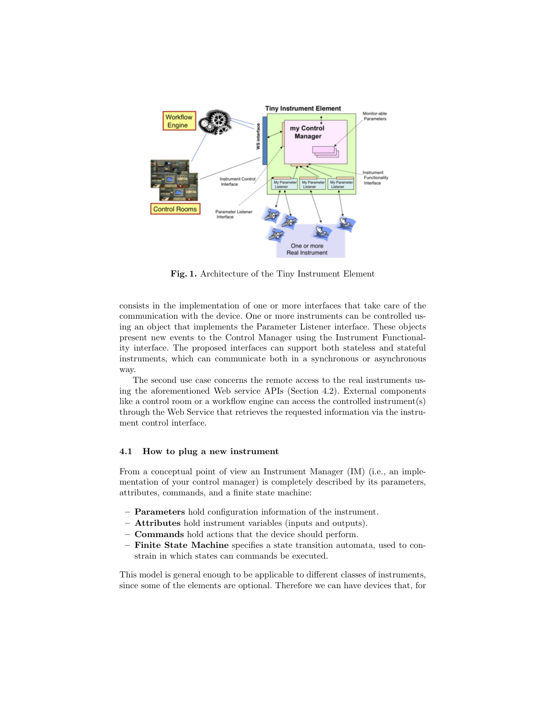

<span id="page-5-0"></span>Fig. 1. Architecture of the Tiny Instrument Element

consists in the implementation of one or more interfaces that take care of the communication with the device. One or more instruments can be controlled using an object that implements the Parameter Listener interface. These objects present new events to the Control Manager using the Instrument Functionality interface. The proposed interfaces can support both stateless and stateful instruments, which can communicate both in a synchronous or asynchronous way.

The second use case concerns the remote access to the real instruments using the aforementioned Web service APIs (Section [4.2\)](#page-8-0). External components like a control room or a workflow engine can access the controlled instrument(s) through the Web Service that retrieves the requested information via the instrument control interface.

#### <span id="page-5-1"></span>4.1 How to plug a new instrument

From a conceptual point of view an Instrument Manager (IM) (i.e., an implementation of your control manager) is completely described by its parameters, attributes, commands, and a finite state machine:

- Parameters hold configuration information of the instrument.
- Attributes hold instrument variables (inputs and outputs).
- Commands hold actions that the device should perform.
- Finite State Machine specifies a state transition automata, used to constrain in which states can commands be executed.

This model is general enough to be applicable to different classes of instruments, since some of the elements are optional. Therefore we can have devices that, for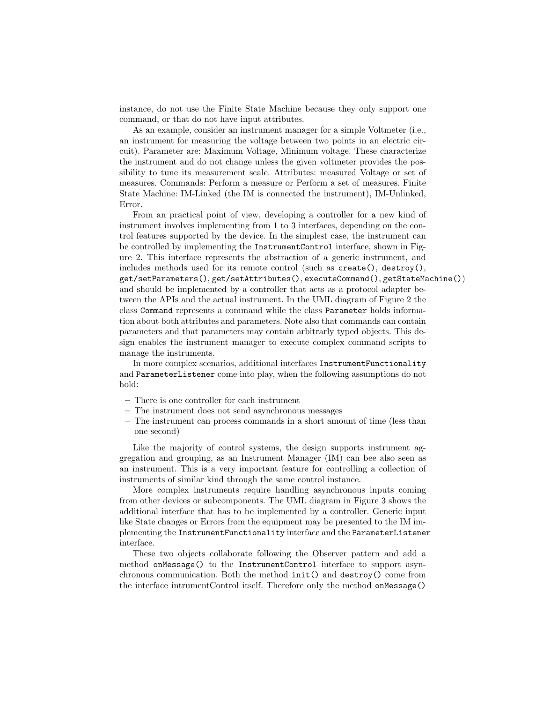instance, do not use the Finite State Machine because they only support one command, or that do not have input attributes.

As an example, consider an instrument manager for a simple Voltmeter (i.e., an instrument for measuring the voltage between two points in an electric circuit). Parameter are: Maximum Voltage, Minimum voltage. These characterize the instrument and do not change unless the given voltmeter provides the possibility to tune its measurement scale. Attributes: measured Voltage or set of measures. Commands: Perform a measure or Perform a set of measures. Finite State Machine: IM-Linked (the IM is connected the instrument), IM-Unlinked, Error.

From an practical point of view, developing a controller for a new kind of instrument involves implementing from 1 to 3 interfaces, depending on the control features supported by the device. In the simplest case, the instrument can be controlled by implementing the InstrumentControl interface, shown in Figure [2.](#page-7-0) This interface represents the abstraction of a generic instrument, and includes methods used for its remote control (such as create(), destroy(), get/setParameters(), get/setAttributes(), executeCommand(), getStateMachine()) and should be implemented by a controller that acts as a protocol adapter between the APIs and the actual instrument. In the UML diagram of Figure [2](#page-7-0) the class Command represents a command while the class Parameter holds information about both attributes and parameters. Note also that commands can contain parameters and that parameters may contain arbitrarly typed objects. This design enables the instrument manager to execute complex command scripts to manage the instruments.

In more complex scenarios, additional interfaces InstrumentFunctionality and ParameterListener come into play, when the following assumptions do not hold:

- There is one controller for each instrument
- The instrument does not send asynchronous messages
- The instrument can process commands in a short amount of time (less than one second)

Like the majority of control systems, the design supports instrument aggregation and grouping, as an Instrument Manager (IM) can bee also seen as an instrument. This is a very important feature for controlling a collection of instruments of similar kind through the same control instance.

More complex instruments require handling asynchronous inputs coming from other devices or subcomponents. The UML diagram in Figure [3](#page-7-1) shows the additional interface that has to be implemented by a controller. Generic input like State changes or Errors from the equipment may be presented to the IM implementing the InstrumentFunctionality interface and the ParameterListener interface.

These two objects collaborate following the Observer pattern and add a method onMessage() to the InstrumentControl interface to support asynchronous communication. Both the method init() and destroy() come from the interface intrumentControl itself. Therefore only the method onMessage()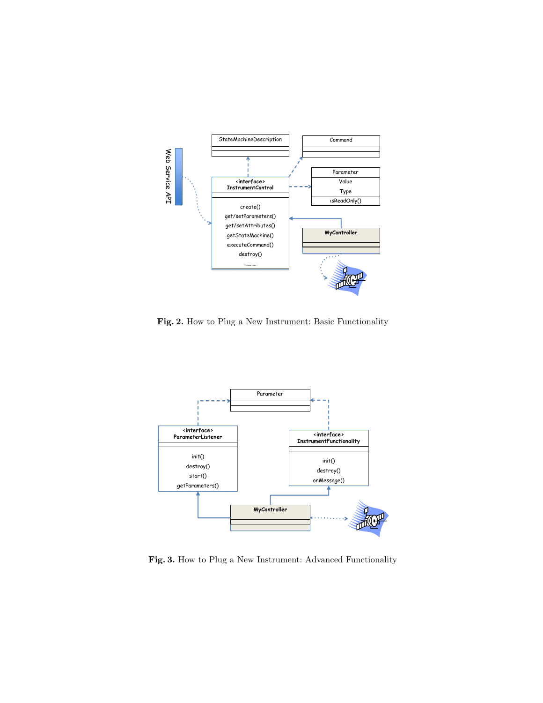

<span id="page-7-0"></span>Fig. 2. How to Plug a New Instrument: Basic Functionality



<span id="page-7-1"></span>Fig. 3. How to Plug a New Instrument: Advanced Functionality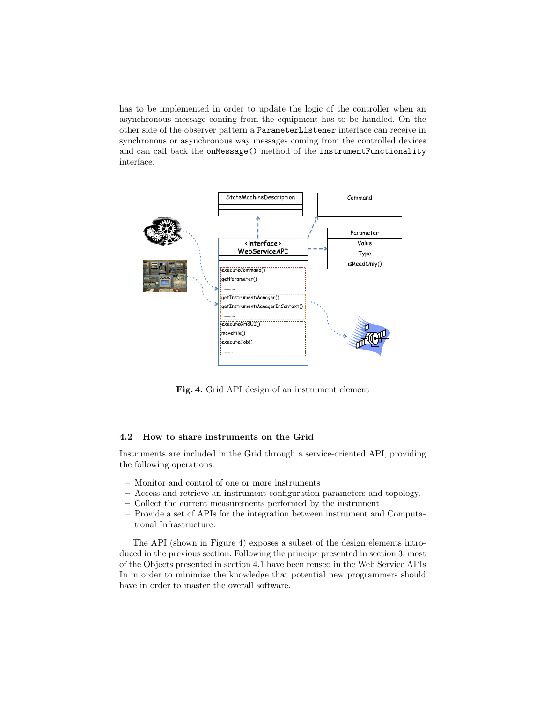has to be implemented in order to update the logic of the controller when an asynchronous message coming from the equipment has to be handled. On the other side of the observer pattern a ParameterListener interface can receive in synchronous or asynchronous way messages coming from the controlled devices and can call back the onMessage() method of the instrumentFunctionality interface.



<span id="page-8-1"></span>Fig. 4. Grid API design of an instrument element

## <span id="page-8-0"></span>4.2 How to share instruments on the Grid

Instruments are included in the Grid through a service-oriented API, providing the following operations:

- Monitor and control of one or more instruments
- Access and retrieve an instrument configuration parameters and topology.
- Collect the current measurements performed by the instrument
- Provide a set of APIs for the integration between instrument and Computational Infrastructure.

The API (shown in Figure [4\)](#page-8-1) exposes a subset of the design elements introduced in the previous section. Following the principe presented in section [3,](#page-2-0) most of the Objects presented in section [4.1](#page-5-1) have been reused in the Web Service APIs In in order to minimize the knowledge that potential new programmers should have in order to master the overall software.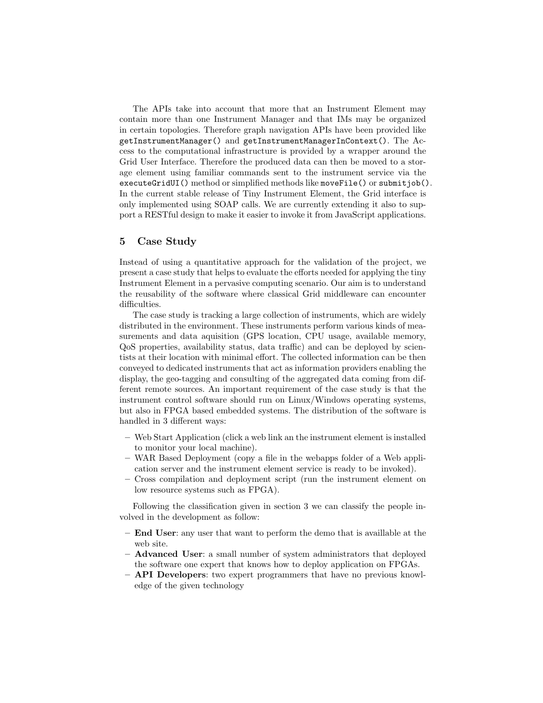The APIs take into account that more that an Instrument Element may contain more than one Instrument Manager and that IMs may be organized in certain topologies. Therefore graph navigation APIs have been provided like getInstrumentManager() and getInstrumentManagerInContext(). The Access to the computational infrastructure is provided by a wrapper around the Grid User Interface. Therefore the produced data can then be moved to a storage element using familiar commands sent to the instrument service via the executeGridUI() method or simplified methods like moveFile() or submitjob(). In the current stable release of Tiny Instrument Element, the Grid interface is only implemented using SOAP calls. We are currently extending it also to support a RESTful design to make it easier to invoke it from JavaScript applications.

### <span id="page-9-0"></span>5 Case Study

Instead of using a quantitative approach for the validation of the project, we present a case study that helps to evaluate the efforts needed for applying the tiny Instrument Element in a pervasive computing scenario. Our aim is to understand the reusability of the software where classical Grid middleware can encounter difficulties.

The case study is tracking a large collection of instruments, which are widely distributed in the environment. These instruments perform various kinds of measurements and data aquisition (GPS location, CPU usage, available memory, QoS properties, availability status, data traffic) and can be deployed by scientists at their location with minimal effort. The collected information can be then conveyed to dedicated instruments that act as information providers enabling the display, the geo-tagging and consulting of the aggregated data coming from different remote sources. An important requirement of the case study is that the instrument control software should run on Linux/Windows operating systems, but also in FPGA based embedded systems. The distribution of the software is handled in 3 different ways:

- Web Start Application (click a web link an the instrument element is installed to monitor your local machine).
- WAR Based Deployment (copy a file in the webapps folder of a Web application server and the instrument element service is ready to be invoked).
- Cross compilation and deployment script (run the instrument element on low resource systems such as FPGA).

Following the classification given in section [3](#page-2-0) we can classify the people involved in the development as follow:

- End User: any user that want to perform the demo that is availlable at the web site.
- Advanced User: a small number of system administrators that deployed the software one expert that knows how to deploy application on FPGAs.
- **API Developers:** two expert programmers that have no previous knowledge of the given technology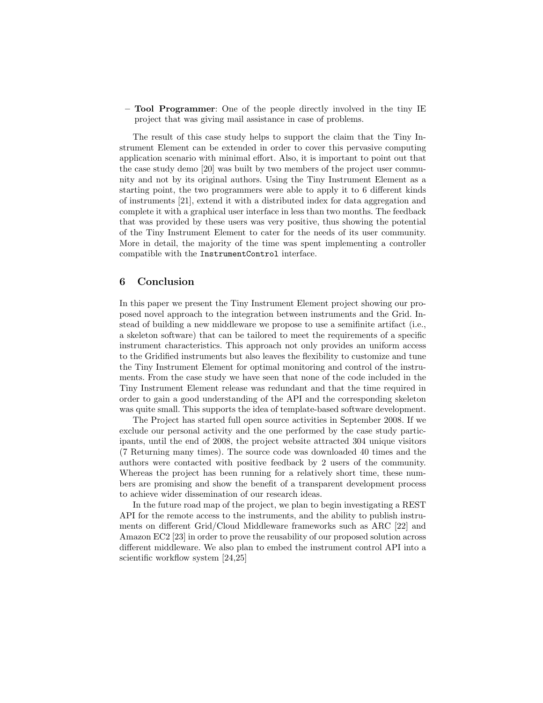– Tool Programmer: One of the people directly involved in the tiny IE project that was giving mail assistance in case of problems.

The result of this case study helps to support the claim that the Tiny Instrument Element can be extended in order to cover this pervasive computing application scenario with minimal effort. Also, it is important to point out that the case study demo [\[20\]](#page-11-19) was built by two members of the project user community and not by its original authors. Using the Tiny Instrument Element as a starting point, the two programmers were able to apply it to 6 different kinds of instruments [\[21\]](#page-11-20), extend it with a distributed index for data aggregation and complete it with a graphical user interface in less than two months. The feedback that was provided by these users was very positive, thus showing the potential of the Tiny Instrument Element to cater for the needs of its user community. More in detail, the majority of the time was spent implementing a controller compatible with the InstrumentControl interface.

#### <span id="page-10-0"></span>6 Conclusion

In this paper we present the Tiny Instrument Element project showing our proposed novel approach to the integration between instruments and the Grid. Instead of building a new middleware we propose to use a semifinite artifact (i.e., a skeleton software) that can be tailored to meet the requirements of a specific instrument characteristics. This approach not only provides an uniform access to the Gridified instruments but also leaves the flexibility to customize and tune the Tiny Instrument Element for optimal monitoring and control of the instruments. From the case study we have seen that none of the code included in the Tiny Instrument Element release was redundant and that the time required in order to gain a good understanding of the API and the corresponding skeleton was quite small. This supports the idea of template-based software development.

The Project has started full open source activities in September 2008. If we exclude our personal activity and the one performed by the case study participants, until the end of 2008, the project website attracted 304 unique visitors (7 Returning many times). The source code was downloaded 40 times and the authors were contacted with positive feedback by 2 users of the community. Whereas the project has been running for a relatively short time, these numbers are promising and show the benefit of a transparent development process to achieve wider dissemination of our research ideas.

In the future road map of the project, we plan to begin investigating a REST API for the remote access to the instruments, and the ability to publish instruments on different Grid/Cloud Middleware frameworks such as ARC [\[22\]](#page-11-21) and Amazon EC2 [\[23\]](#page-11-22) in order to prove the reusability of our proposed solution across different middleware. We also plan to embed the instrument control API into a scientific workflow system [\[24,](#page-11-23)[25\]](#page-11-24)